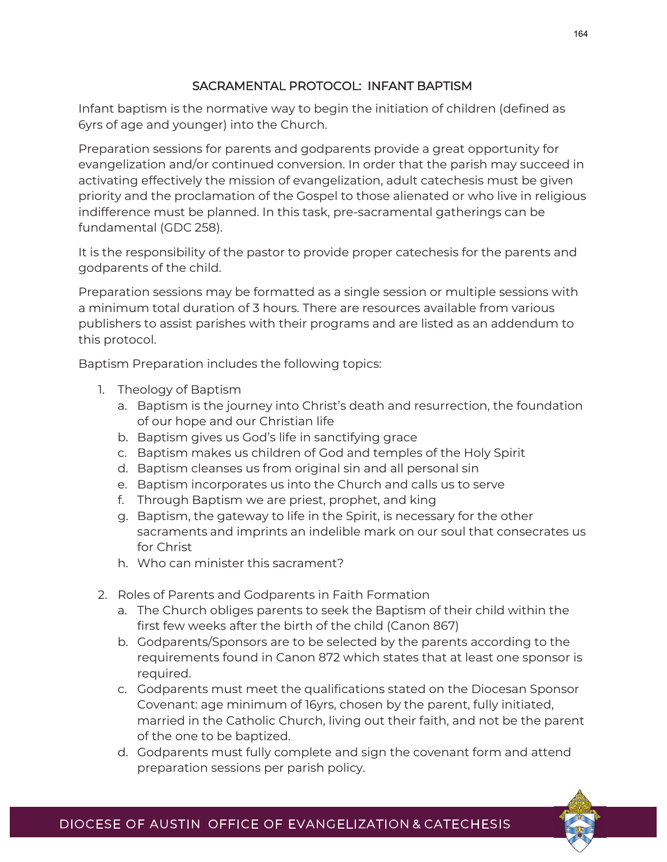## SACRAMENTAL PROTOCOL: INFANT BAPTISM

Infant baptism is the normative way to begin the initiation of children (defined as 6yrs of age and younger) into the Church.

Preparation sessions for parents and godparents provide a great opportunity for evangelization and/or continued conversion. In order that the parish may succeed in activating effectively the mission of evangelization, adult catechesis must be given priority and the proclamation of the Gospel to those alienated or who live in religious indifference must be planned. In this task, pre-sacramental gatherings can be fundamental (GDC 258).

It is the responsibility of the pastor to provide proper catechesis for the parents and godparents of the child.

Preparation sessions may be formatted as a single session or multiple sessions with a minimum total duration of 3 hours. There are resources available from various publishers to assist parishes with their programs and are listed as an addendum to this protocol.

Baptism Preparation includes the following topics:

- 1. Theology of Baptism
	- a. Baptism is the journey into Christ's death and resurrection, the foundation of our hope and our Christian life
	- b. Baptism gives us God's life in sanctifying grace
	- c. Baptism makes us children of God and temples of the Holy Spirit
	- d. Baptism cleanses us from original sin and all personal sin
	- e. Baptism incorporates us into the Church and calls us to serve
	- f. Through Baptism we are priest, prophet, and king
	- g. Baptism, the gateway to life in the Spirit, is necessary for the other sacraments and imprints an indelible mark on our soul that consecrates us for Christ
	- h. Who can minister this sacrament?
- 2. Roles of Parents and Godparents in Faith Formation
	- a. The Church obliges parents to seek the Baptism of their child within the first few weeks after the birth of the child (Canon 867)
	- b. Godparents/Sponsors are to be selected by the parents according to the requirements found in Canon 872 which states that at least one sponsor is required.
	- c. Godparents must meet the qualifications stated on the Diocesan Sponsor Covenant: age minimum of 16yrs, chosen by the parent, fully initiated, married in the Catholic Church, living out their faith, and not be the parent of the one to be baptized.
	- d. Godparents must fully complete and sign the covenant form and attend preparation sessions per parish policy.